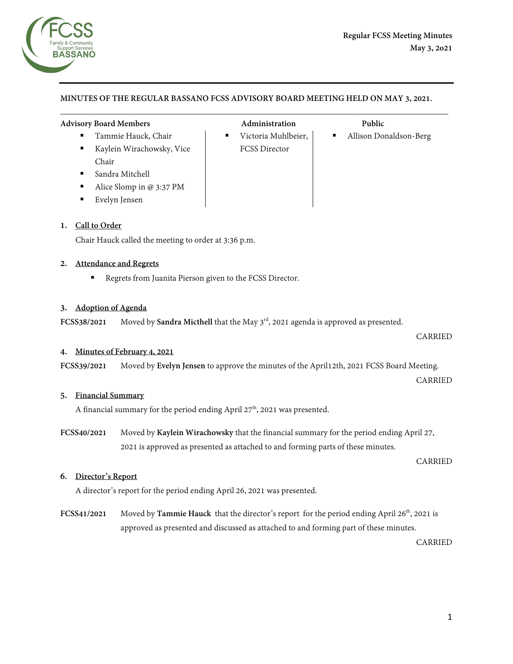

## **MINUTES OF THE REGULAR BASSANO FCSS ADVISORY BOARD MEETING HELD ON MAY 3, 2021.**

 $\overline{\phantom{a}}$  , and the contribution of the contribution of the contribution of the contribution of the contribution of the contribution of the contribution of the contribution of the contribution of the contribution of the

## **Advisory Board Members Administration Public**

- Tammie Hauck, Chair **Chair Victoria Muhlbeier, | Allison Donaldson-Berg**
- Kaylein Wirachowsky, Vice Chair
- Sandra Mitchell
- Alice Slomp in @ 3:37 PM
- Evelyn Jensen

### **1. Call to Order**

Chair Hauck called the meeting to order at 3:36 p.m.

### **2. Attendance and Regrets**

Regrets from Juanita Pierson given to the FCSS Director.

# **3. Adoption of Agenda**

FCSS38/2021 Moved by **Sandra Micthell** that the May 3<sup>rd</sup>, 2021 agenda is approved as presented.

#### **4. Minutes of February 4, 2021**

**FCSS39/2021** Moved by **Evelyn Jensen** to approve the minutes of the April12th, 2021 FCSS Board Meeting.

#### CARRIED

CARRIED

#### **5. Financial Summary**

A financial summary for the period ending April  $27<sup>th</sup>$ , 2021 was presented.

**FCSS40/2021** Moved by **Kaylein Wirachowsky** that the financial summary for the period ending April 27, 2021 is approved as presented as attached to and forming parts of these minutes.

#### CARRIED

### **6. Director's Report**

A director's report for the period ending April 26, 2021 was presented.

**FCSS41/2021** Moved by **Tammie Hauck** that the director's report for the period ending April 26<sup>th</sup>, 2021 is approved as presented and discussed as attached to and forming part of these minutes.

CARRIED

- FCSS Director
- -